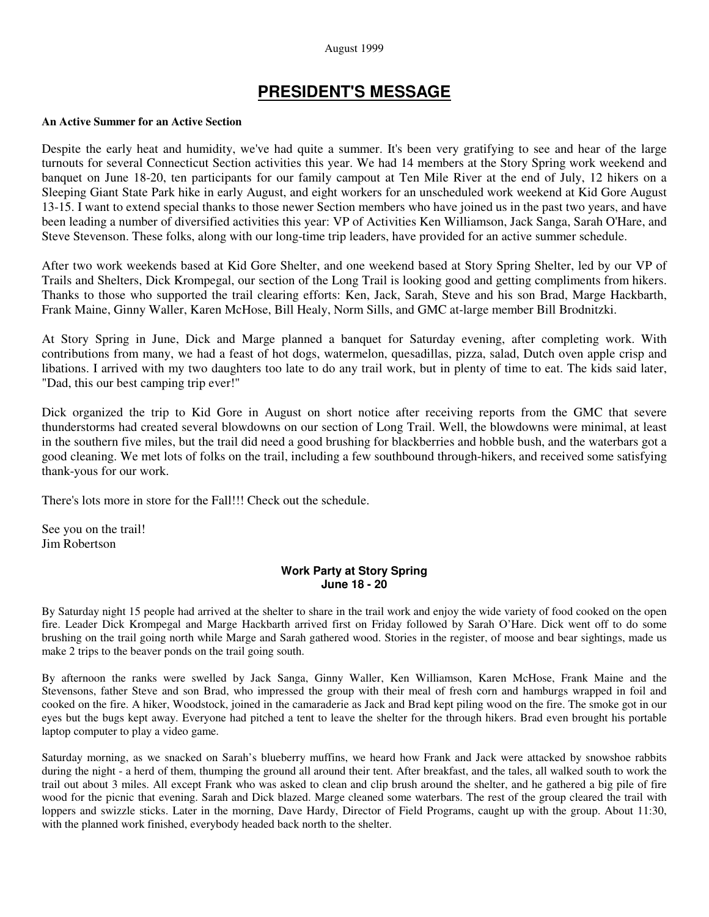#### August 1999

# **PRESIDENT'S MESSAGE**

#### **An Active Summer for an Active Section**

Despite the early heat and humidity, we've had quite a summer. It's been very gratifying to see and hear of the large turnouts for several Connecticut Section activities this year. We had 14 members at the Story Spring work weekend and banquet on June 18-20, ten participants for our family campout at Ten Mile River at the end of July, 12 hikers on a Sleeping Giant State Park hike in early August, and eight workers for an unscheduled work weekend at Kid Gore August 13-15. I want to extend special thanks to those newer Section members who have joined us in the past two years, and have been leading a number of diversified activities this year: VP of Activities Ken Williamson, Jack Sanga, Sarah O'Hare, and Steve Stevenson. These folks, along with our long-time trip leaders, have provided for an active summer schedule.

After two work weekends based at Kid Gore Shelter, and one weekend based at Story Spring Shelter, led by our VP of Trails and Shelters, Dick Krompegal, our section of the Long Trail is looking good and getting compliments from hikers. Thanks to those who supported the trail clearing efforts: Ken, Jack, Sarah, Steve and his son Brad, Marge Hackbarth, Frank Maine, Ginny Waller, Karen McHose, Bill Healy, Norm Sills, and GMC at-large member Bill Brodnitzki.

At Story Spring in June, Dick and Marge planned a banquet for Saturday evening, after completing work. With contributions from many, we had a feast of hot dogs, watermelon, quesadillas, pizza, salad, Dutch oven apple crisp and libations. I arrived with my two daughters too late to do any trail work, but in plenty of time to eat. The kids said later, "Dad, this our best camping trip ever!"

Dick organized the trip to Kid Gore in August on short notice after receiving reports from the GMC that severe thunderstorms had created several blowdowns on our section of Long Trail. Well, the blowdowns were minimal, at least in the southern five miles, but the trail did need a good brushing for blackberries and hobble bush, and the waterbars got a good cleaning. We met lots of folks on the trail, including a few southbound through-hikers, and received some satisfying thank-yous for our work.

There's lots more in store for the Fall!!! Check out the schedule.

See you on the trail! Jim Robertson

## **Work Party at Story Spring June 18 - 20**

By Saturday night 15 people had arrived at the shelter to share in the trail work and enjoy the wide variety of food cooked on the open fire. Leader Dick Krompegal and Marge Hackbarth arrived first on Friday followed by Sarah O'Hare. Dick went off to do some brushing on the trail going north while Marge and Sarah gathered wood. Stories in the register, of moose and bear sightings, made us make 2 trips to the beaver ponds on the trail going south.

By afternoon the ranks were swelled by Jack Sanga, Ginny Waller, Ken Williamson, Karen McHose, Frank Maine and the Stevensons, father Steve and son Brad, who impressed the group with their meal of fresh corn and hamburgs wrapped in foil and cooked on the fire. A hiker, Woodstock, joined in the camaraderie as Jack and Brad kept piling wood on the fire. The smoke got in our eyes but the bugs kept away. Everyone had pitched a tent to leave the shelter for the through hikers. Brad even brought his portable laptop computer to play a video game.

Saturday morning, as we snacked on Sarah's blueberry muffins, we heard how Frank and Jack were attacked by snowshoe rabbits during the night - a herd of them, thumping the ground all around their tent. After breakfast, and the tales, all walked south to work the trail out about 3 miles. All except Frank who was asked to clean and clip brush around the shelter, and he gathered a big pile of fire wood for the picnic that evening. Sarah and Dick blazed. Marge cleaned some waterbars. The rest of the group cleared the trail with loppers and swizzle sticks. Later in the morning, Dave Hardy, Director of Field Programs, caught up with the group. About 11:30, with the planned work finished, everybody headed back north to the shelter.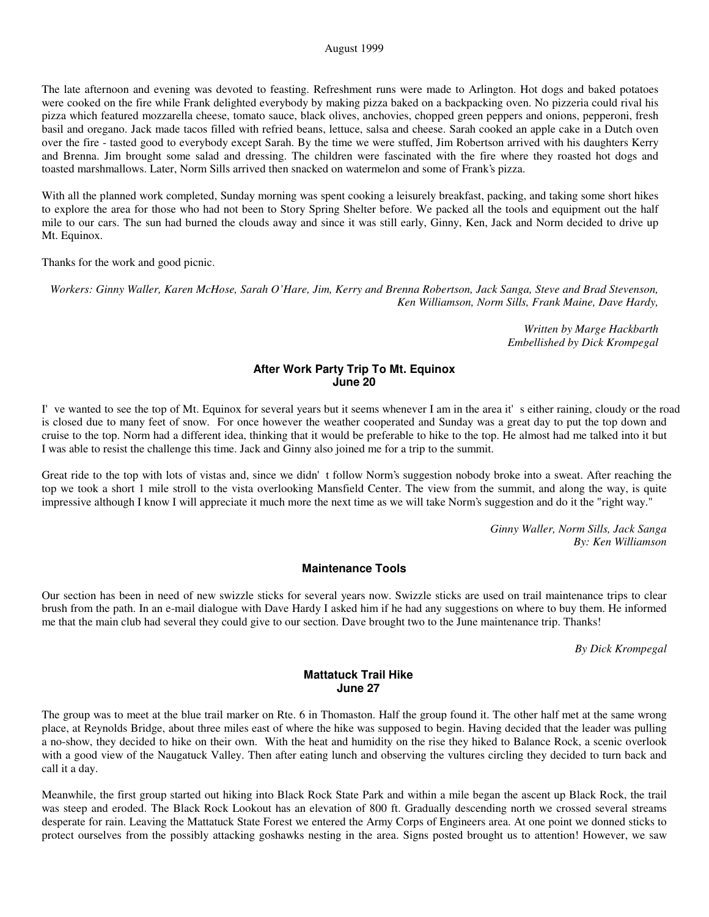The late afternoon and evening was devoted to feasting. Refreshment runs were made to Arlington. Hot dogs and baked potatoes were cooked on the fire while Frank delighted everybody by making pizza baked on a backpacking oven. No pizzeria could rival his pizza which featured mozzarella cheese, tomato sauce, black olives, anchovies, chopped green peppers and onions, pepperoni, fresh basil and oregano. Jack made tacos filled with refried beans, lettuce, salsa and cheese. Sarah cooked an apple cake in a Dutch oven over the fire - tasted good to everybody except Sarah. By the time we were stuffed, Jim Robertson arrived with his daughters Kerry and Brenna. Jim brought some salad and dressing. The children were fascinated with the fire where they roasted hot dogs and toasted marshmallows. Later, Norm Sills arrived then snacked on watermelon and some of Frank's pizza.

With all the planned work completed, Sunday morning was spent cooking a leisurely breakfast, packing, and taking some short hikes to explore the area for those who had not been to Story Spring Shelter before. We packed all the tools and equipment out the half mile to our cars. The sun had burned the clouds away and since it was still early, Ginny, Ken, Jack and Norm decided to drive up Mt. Equinox.

Thanks for the work and good picnic.

*Workers: Ginny Waller, Karen McHose, Sarah O'Hare, Jim, Kerry and Brenna Robertson, Jack Sanga, Steve and Brad Stevenson, Ken Williamson, Norm Sills, Frank Maine, Dave Hardy,*

> *Written by Marge Hackbarth Embellished by Dick Krompegal*

### **After Work Party Trip To Mt. Equinox June 20**

I've wanted to see the top of Mt. Equinox for several years but it seems whenever I am in the area it's either raining, cloudy or the road is closed due to many feet of snow. For once however the weather cooperated and Sunday was a great day to put the top down and cruise to the top. Norm had a different idea, thinking that it would be preferable to hike to the top. He almost had me talked into it but I was able to resist the challenge this time. Jack and Ginny also joined me for a trip to the summit.

Great ride to the top with lots of vistas and, since we didn't follow Norm's suggestion nobody broke into a sweat. After reaching the top we took a short 1 mile stroll to the vista overlooking Mansfield Center. The view from the summit, and along the way, is quite impressive although I know I will appreciate it much more the next time as we will take Norm's suggestion and do it the "right way."

> *Ginny Waller, Norm Sills, Jack Sanga By: Ken Williamson*

#### **Maintenance Tools**

Our section has been in need of new swizzle sticks for several years now. Swizzle sticks are used on trail maintenance trips to clear brush from the path. In an e-mail dialogue with Dave Hardy I asked him if he had any suggestions on where to buy them. He informed me that the main club had several they could give to our section. Dave brought two to the June maintenance trip. Thanks!

*By Dick Krompegal*

#### **Mattatuck Trail Hike June 27**

The group was to meet at the blue trail marker on Rte. 6 in Thomaston. Half the group found it. The other half met at the same wrong place, at Reynolds Bridge, about three miles east of where the hike was supposed to begin. Having decided that the leader was pulling a no-show, they decided to hike on their own. With the heat and humidity on the rise they hiked to Balance Rock, a scenic overlook with a good view of the Naugatuck Valley. Then after eating lunch and observing the vultures circling they decided to turn back and call it a day.

Meanwhile, the first group started out hiking into Black Rock State Park and within a mile began the ascent up Black Rock, the trail was steep and eroded. The Black Rock Lookout has an elevation of 800 ft. Gradually descending north we crossed several streams desperate for rain. Leaving the Mattatuck State Forest we entered the Army Corps of Engineers area. At one point we donned sticks to protect ourselves from the possibly attacking goshawks nesting in the area. Signs posted brought us to attention! However, we saw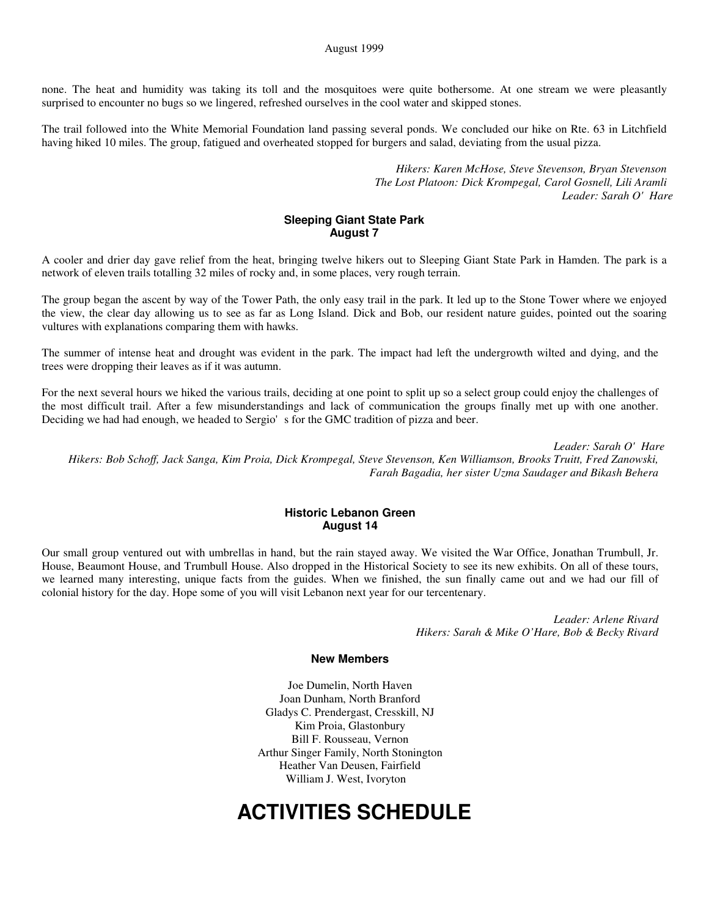none. The heat and humidity was taking its toll and the mosquitoes were quite bothersome. At one stream we were pleasantly surprised to encounter no bugs so we lingered, refreshed ourselves in the cool water and skipped stones.

The trail followed into the White Memorial Foundation land passing several ponds. We concluded our hike on Rte. 63 in Litchfield having hiked 10 miles. The group, fatigued and overheated stopped for burgers and salad, deviating from the usual pizza.

> *Hikers: Karen McHose, Steve Stevenson, Bryan Stevenson The Lost Platoon: Dick Krompegal, Carol Gosnell, Lili Aramli Leader: Sarah O'Hare*

## **Sleeping Giant State Park August 7**

A cooler and drier day gave relief from the heat, bringing twelve hikers out to Sleeping Giant State Park in Hamden. The park is a network of eleven trails totalling 32 miles of rocky and, in some places, very rough terrain.

The group began the ascent by way of the Tower Path, the only easy trail in the park. It led up to the Stone Tower where we enjoyed the view, the clear day allowing us to see as far as Long Island. Dick and Bob, our resident nature guides, pointed out the soaring vultures with explanations comparing them with hawks.

The summer of intense heat and drought was evident in the park. The impact had left the undergrowth wilted and dying, and the trees were dropping their leaves as if it was autumn.

For the next several hours we hiked the various trails, deciding at one point to split up so a select group could enjoy the challenges of the most difficult trail. After a few misunderstandings and lack of communication the groups finally met up with one another. Deciding we had had enough, we headed to Sergio's for the GMC tradition of pizza and beer.

*Leader: Sarah O'Hare*

*Hikers: Bob Schoff, Jack Sanga, Kim Proia, Dick Krompegal, Steve Stevenson, Ken Williamson, Brooks Truitt, Fred Zanowski, Farah Bagadia, her sister Uzma Saudager and Bikash Behera*

#### **Historic Lebanon Green August 14**

Our small group ventured out with umbrellas in hand, but the rain stayed away. We visited the War Office, Jonathan Trumbull, Jr. House, Beaumont House, and Trumbull House. Also dropped in the Historical Society to see its new exhibits. On all of these tours, we learned many interesting, unique facts from the guides. When we finished, the sun finally came out and we had our fill of colonial history for the day. Hope some of you will visit Lebanon next year for our tercentenary.

> *Leader: Arlene Rivard Hikers: Sarah & Mike O'Hare, Bob & Becky Rivard*

#### **New Members**

Joe Dumelin, North Haven Joan Dunham, North Branford Gladys C. Prendergast, Cresskill, NJ Kim Proia, Glastonbury Bill F. Rousseau, Vernon Arthur Singer Family, North Stonington Heather Van Deusen, Fairfield William J. West, Ivoryton

# **ACTIVITIES SCHEDULE**